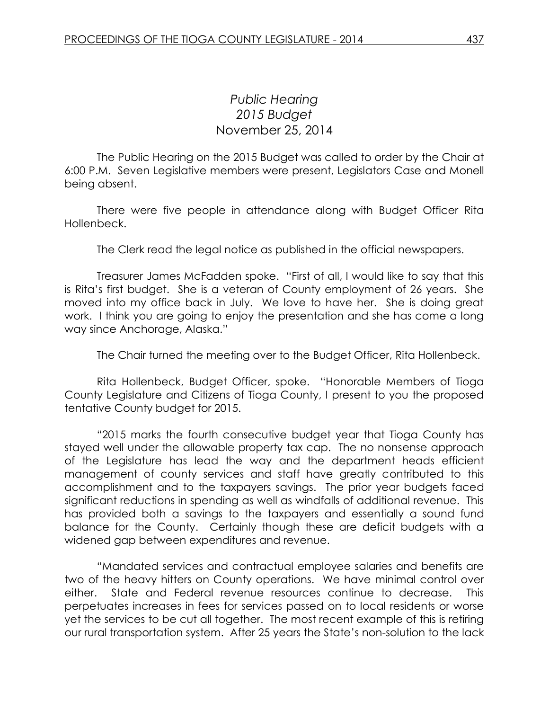## *Public Hearing 2015 Budget* November 25, 2014

The Public Hearing on the 2015 Budget was called to order by the Chair at 6:00 P.M. Seven Legislative members were present, Legislators Case and Monell being absent.

There were five people in attendance along with Budget Officer Rita Hollenbeck.

The Clerk read the legal notice as published in the official newspapers.

Treasurer James McFadden spoke. "First of all, I would like to say that this is Rita's first budget. She is a veteran of County employment of 26 years. She moved into my office back in July. We love to have her. She is doing great work. I think you are going to enjoy the presentation and she has come a long way since Anchorage, Alaska."

The Chair turned the meeting over to the Budget Officer, Rita Hollenbeck.

Rita Hollenbeck, Budget Officer, spoke. "Honorable Members of Tioga County Legislature and Citizens of Tioga County, I present to you the proposed tentative County budget for 2015.

"2015 marks the fourth consecutive budget year that Tioga County has stayed well under the allowable property tax cap. The no nonsense approach of the Legislature has lead the way and the department heads efficient management of county services and staff have greatly contributed to this accomplishment and to the taxpayers savings. The prior year budgets faced significant reductions in spending as well as windfalls of additional revenue. This has provided both a savings to the taxpayers and essentially a sound fund balance for the County. Certainly though these are deficit budgets with a widened gap between expenditures and revenue.

"Mandated services and contractual employee salaries and benefits are two of the heavy hitters on County operations. We have minimal control over either. State and Federal revenue resources continue to decrease. This perpetuates increases in fees for services passed on to local residents or worse yet the services to be cut all together. The most recent example of this is retiring our rural transportation system. After 25 years the State's non-solution to the lack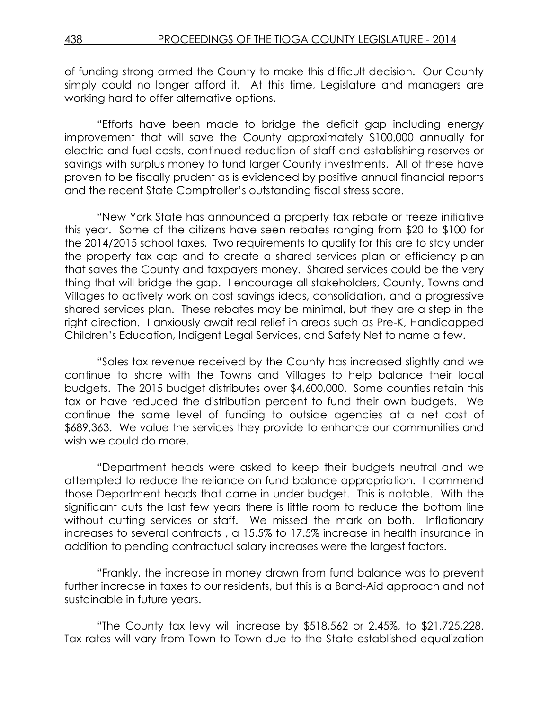of funding strong armed the County to make this difficult decision. Our County simply could no longer afford it. At this time, Legislature and managers are working hard to offer alternative options.

"Efforts have been made to bridge the deficit gap including energy improvement that will save the County approximately \$100,000 annually for electric and fuel costs, continued reduction of staff and establishing reserves or savings with surplus money to fund larger County investments. All of these have proven to be fiscally prudent as is evidenced by positive annual financial reports and the recent State Comptroller's outstanding fiscal stress score.

"New York State has announced a property tax rebate or freeze initiative this year. Some of the citizens have seen rebates ranging from \$20 to \$100 for the 2014/2015 school taxes. Two requirements to qualify for this are to stay under the property tax cap and to create a shared services plan or efficiency plan that saves the County and taxpayers money. Shared services could be the very thing that will bridge the gap. I encourage all stakeholders, County, Towns and Villages to actively work on cost savings ideas, consolidation, and a progressive shared services plan. These rebates may be minimal, but they are a step in the right direction. I anxiously await real relief in areas such as Pre-K, Handicapped Children's Education, Indigent Legal Services, and Safety Net to name a few.

"Sales tax revenue received by the County has increased slightly and we continue to share with the Towns and Villages to help balance their local budgets. The 2015 budget distributes over \$4,600,000. Some counties retain this tax or have reduced the distribution percent to fund their own budgets. We continue the same level of funding to outside agencies at a net cost of \$689,363. We value the services they provide to enhance our communities and wish we could do more.

"Department heads were asked to keep their budgets neutral and we attempted to reduce the reliance on fund balance appropriation. I commend those Department heads that came in under budget. This is notable. With the significant cuts the last few years there is little room to reduce the bottom line without cutting services or staff. We missed the mark on both. Inflationary increases to several contracts , a 15.5% to 17.5% increase in health insurance in addition to pending contractual salary increases were the largest factors.

"Frankly, the increase in money drawn from fund balance was to prevent further increase in taxes to our residents, but this is a Band-Aid approach and not sustainable in future years.

"The County tax levy will increase by \$518,562 or 2.45%, to \$21,725,228. Tax rates will vary from Town to Town due to the State established equalization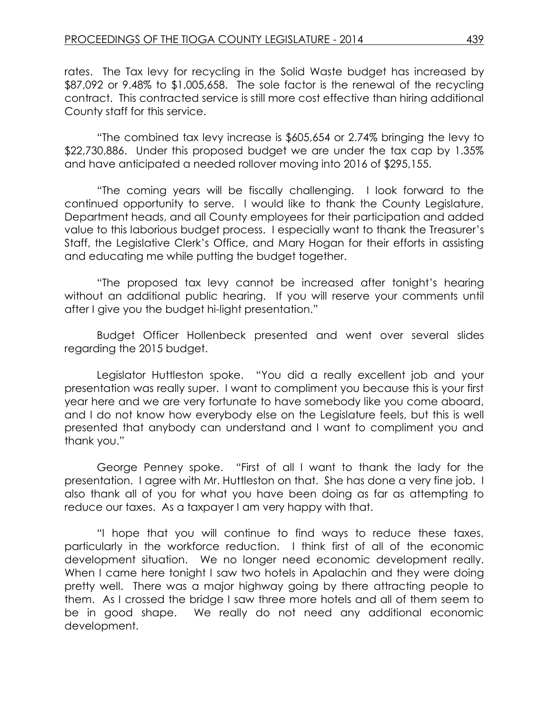rates. The Tax levy for recycling in the Solid Waste budget has increased by \$87,092 or 9.48% to \$1,005,658. The sole factor is the renewal of the recycling contract. This contracted service is still more cost effective than hiring additional County staff for this service.

"The combined tax levy increase is \$605,654 or 2.74% bringing the levy to \$22,730,886. Under this proposed budget we are under the tax cap by 1.35% and have anticipated a needed rollover moving into 2016 of \$295,155.

"The coming years will be fiscally challenging. I look forward to the continued opportunity to serve. I would like to thank the County Legislature, Department heads, and all County employees for their participation and added value to this laborious budget process. I especially want to thank the Treasurer's Staff, the Legislative Clerk's Office, and Mary Hogan for their efforts in assisting and educating me while putting the budget together.

"The proposed tax levy cannot be increased after tonight's hearing without an additional public hearing. If you will reserve your comments until after I give you the budget hi-light presentation."

Budget Officer Hollenbeck presented and went over several slides regarding the 2015 budget.

Legislator Huttleston spoke. "You did a really excellent job and your presentation was really super. I want to compliment you because this is your first year here and we are very fortunate to have somebody like you come aboard, and I do not know how everybody else on the Legislature feels, but this is well presented that anybody can understand and I want to compliment you and thank you."

George Penney spoke. "First of all I want to thank the lady for the presentation. I agree with Mr. Huttleston on that. She has done a very fine job. I also thank all of you for what you have been doing as far as attempting to reduce our taxes. As a taxpayer I am very happy with that.

"I hope that you will continue to find ways to reduce these taxes, particularly in the workforce reduction. I think first of all of the economic development situation. We no longer need economic development really. When I came here tonight I saw two hotels in Apalachin and they were doing pretty well. There was a major highway going by there attracting people to them. As I crossed the bridge I saw three more hotels and all of them seem to be in good shape. We really do not need any additional economic development.